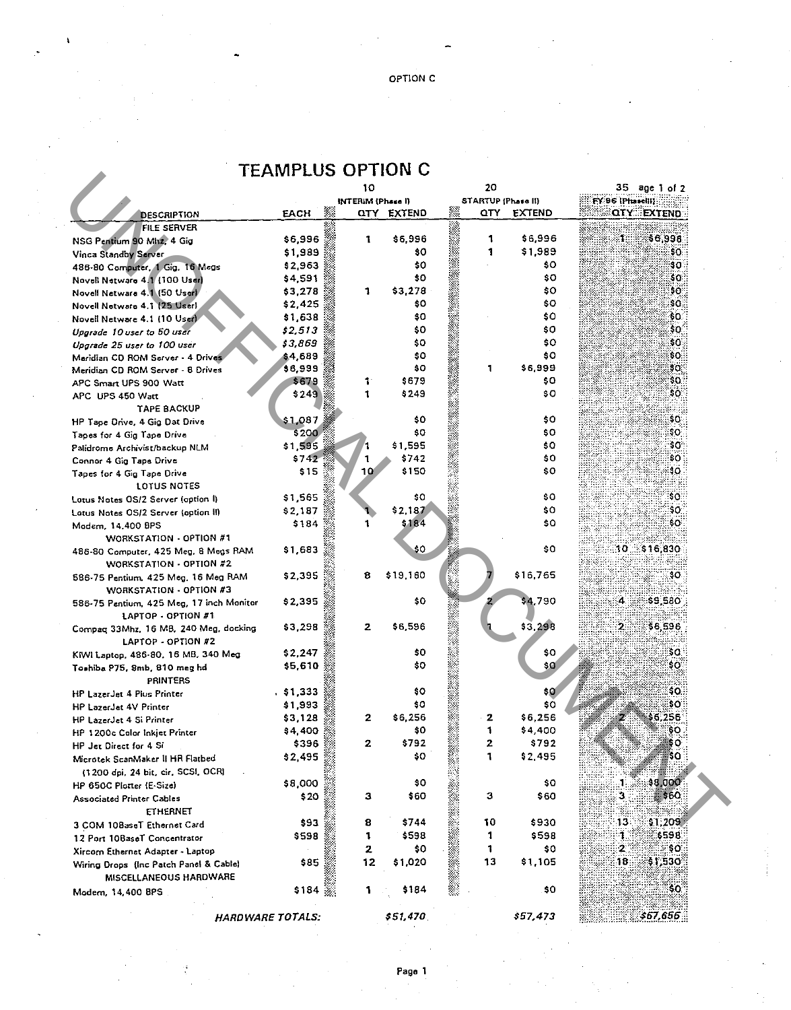| <b>TEAMPLUS OPTION C</b> |  |  |
|--------------------------|--|--|
|--------------------------|--|--|

|                                          |         | w                        |                   |    | zv                        | JJ age i or Z                          |
|------------------------------------------|---------|--------------------------|-------------------|----|---------------------------|----------------------------------------|
|                                          |         | <b>INTERIM (Phase I)</b> |                   |    | <b>STARTUP (Phase II)</b> | FY 96 [Phasel]]                        |
| <b>DESCRIPTION</b>                       | EACH    | Ť.                       | <b>QTY EXTEND</b> |    | <b>EXTEND</b><br>QTY.     | <b>QIY EXTEND ::</b>                   |
| FILE SERVER                              |         |                          |                   |    |                           |                                        |
| NSG Pentium 90 Mhz, 4 Gig                | \$6,996 | 1                        | \$6,996           | 1  | \$6,996                   | $\ddot{\phantom{a}}$<br><b>\$6.998</b> |
| Vinca Standby Server                     | \$1,989 |                          | \$0               | 1  | \$1,989                   | 50.                                    |
| 486-80 Computer, 1 Gig. 16 Megs          | \$2,963 |                          | \$0               |    | \$0                       | \$0.                                   |
| Novell Netware 4.1 (100 User)            | \$4,591 |                          | \$0               |    | \$O.                      | \$0.                                   |
| Novell Netware 4.1 (50 Userl             | \$3,278 | 1                        | \$3,278           |    | \$0                       | \$0.                                   |
| Novell Netware 4.1 (25 User)             | \$2,425 |                          | \$0               |    | \$0                       | sa.                                    |
| Novell Netware 4.1 (10 User)             | \$1,638 |                          | \$0               |    | \$0                       | \$0.                                   |
| Upgrade 10 user to 50 user               | \$2,513 |                          | \$0               |    | \$0                       | \$O.                                   |
| Upgrade 25 user to 100 user              | \$3,869 |                          | \$0               |    | \$0                       | SO.                                    |
| Maridian CD ROM Server - 4 Drives        | \$4,689 |                          | \$0               |    | \$0                       | \$0.                                   |
| Meridian CD ROM Server - 8 Drives        | \$6,999 |                          | 80                | 1  | \$6,999                   | $30^{\circ}$                           |
| APC Smart UPS 900 Watt                   | \$679   | 1.                       | \$679             |    | \$O.                      | \$0.:                                  |
| APC UPS 450 Watt                         | \$249   | 1                        | \$249             |    | \$O                       | \$0.                                   |
| TAPE BACKUP                              |         |                          |                   |    |                           |                                        |
| HP Tape Drive, 4 Gig Dat Drive           | \$1,087 |                          | \$0               |    | \$0                       | \$O.                                   |
| Tapes for 4 Gig Tape Drive               | \$200   |                          | \$0               |    | \$0                       | \$O.                                   |
| Palidrome Archivist/backup NLM           | \$1,595 |                          | \$1,595           |    | \$0                       | \$O.                                   |
| Connor 4 Gig Tape Drive                  | \$742   |                          | \$742             |    | \$0                       | \$O :                                  |
|                                          | \$15    | 10                       | \$150             |    | \$0                       | :40 :                                  |
| Tapes for 4 Gig Tape Drive               |         |                          |                   |    |                           |                                        |
| LOTUS NOTES                              | \$1,565 |                          | \$0               |    | \$O.                      | 30.                                    |
| Lotus Notes OS/2 Server (option I)       |         |                          | \$2,187           |    | \$0.                      | \$0.                                   |
| Lotus Notes OS/2 Server (option II)      | \$2,187 |                          | \$184             |    |                           |                                        |
| Modem, 14,400 BPS                        | \$184   | 1                        |                   |    | \$0                       | ₿O₹                                    |
| WORKSTATION - OPTION #1                  |         |                          |                   |    |                           |                                        |
| 486-80 Computer, 425 Meg, 8 Megs RAM     | \$1,683 |                          | \$0               |    | \$O                       | \$16,830<br>30.                        |
| WORKSTATION - OPTION #2                  |         |                          |                   |    |                           |                                        |
| 586-75 Pentium, 425 Meg, 16 Meg RAM      | \$2,395 | 8                        | \$19,160          |    | \$16,765                  | 30.                                    |
| WORKSTATION - OPTION #3                  |         |                          |                   |    |                           |                                        |
| 586-75 Pentium, 425 Meg, 17 inch Monitor | \$2,395 |                          | \$0               |    | \$4,790                   | 4.<br>\$9,580                          |
| LAPTOP - OPTION #1                       |         |                          |                   |    |                           |                                        |
| Compaq 33Mhz, 16 MB, 240 Meg, docking    | \$3,298 | 2                        | \$6,596           |    | \$3,298                   | 2.<br>\$6,596                          |
| LAPTOP - OPTION #2                       |         |                          |                   |    |                           |                                        |
| KIWI Laptop, 486-80, 16 MB, 340 Meg      | \$2,247 |                          | \$0               |    | \$0                       | \$Q.                                   |
| Toshiba P75, 8mb, 810 meg hd             | \$5,610 |                          | \$0               |    | \$QÍ                      | SO.                                    |
| PRINTERS                                 |         |                          |                   |    |                           |                                        |
| <b>HP LazerJet 4 Plus Printer</b>        | \$1,333 |                          | \$0               |    | \$0                       | \$O∷                                   |
| HP LazerJet 4V Printer                   | \$1,993 |                          | \$0               |    | \$0                       | \$01                                   |
| HP LazerJet 4 Si Printer                 | \$3,128 | $\mathbf{z}$             | \$6,256           | 2  | \$6,256                   | \$6,256                                |
|                                          | \$4,400 |                          | \$0               | 1  | \$4,400                   | ေး                                     |
| HP 1200c Color Inkjet Printer            | \$396   | 2                        | \$792             | 2  | \$792                     | 60                                     |
| HP Jet Direct for 4 Si                   |         |                          | \$0               | 1  | \$2,495                   | ¦\$O                                   |
| Microtek ScanMaker II HR Flatbed         | \$2,495 |                          |                   |    |                           |                                        |
| (1200 dpi, 24 bit, cir. SCSI, OCR)       |         |                          |                   |    |                           |                                        |
| HP 650C Plotter (E-Size)                 | \$8,000 |                          | \$0               |    | \$0                       | \$8,000<br>1                           |
| <b>Associated Printer Cables</b>         | \$ 20   | з                        | \$60              | з  | \$60                      | 3<br>, క60                             |
| <b>ETHERNET</b>                          |         |                          |                   |    |                           |                                        |
| 3 COM 108aseT Ethernet Card              | \$93    | 8                        | \$744             | 10 | \$930                     | 13<br>\$1,209                          |
| 12 Port 10BaseT Concentrator             | \$598   | 1                        | \$598             | 1  | \$598                     | \$598.<br>٦.                           |
| Xircom Ethernet Adapter - Laptop         |         | 2                        | \$0               | 1  | \$0                       | $\mathbf{2}$<br>ŞO.                    |
| Wiring Drops (Inc Patch Panel & Cable)   | \$85    | 12                       | \$1,020           | 13 | \$1,105                   | 18<br>31,530                           |
| <b>MISCELLANEOUS HARDWARE</b>            |         |                          |                   |    |                           |                                        |
| Modem, 14,400 BPS                        | \$184   | 1                        | \$184             |    | \$0                       | -SO.                                   |
|                                          |         |                          |                   |    |                           |                                        |
| <b>HARDWARE TOTALS:</b>                  |         |                          | \$51,470          |    | \$57,473                  | \$67,656                               |
|                                          |         |                          |                   |    |                           |                                        |

Page 1